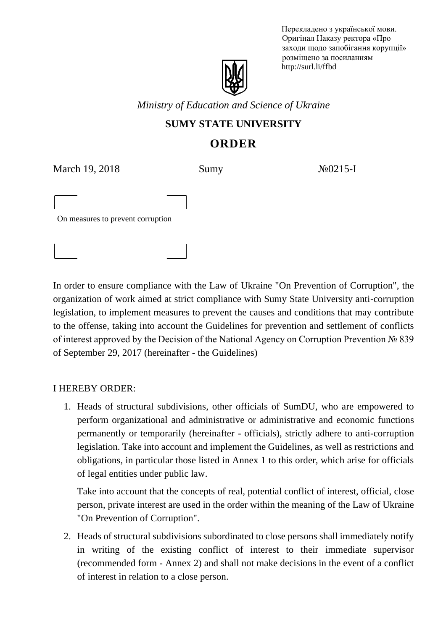Перекладено з української мови. Оригінал Наказу ректора «Про заходи щодо запобігання корупції» розміщено за посиланням http://surl.li/ffbd

*Ministry of Education and Science of Ukraine*

## **SUMY STATE UNIVERSITY**

# **ORDER**

March 19, 2018 Sumy  $\frac{N_0}{215}$ -I

Оn measures to prevent corruption

In order to ensure compliance with the Law of Ukraine "On Prevention of Corruption", the organization of work aimed at strict compliance with Sumy State University anti-corruption legislation, to implement measures to prevent the causes and conditions that may contribute to the offense, taking into account the Guidelines for prevention and settlement of conflicts of interest approved by the Decision of the National Agency on Corruption Prevention № 839 of September 29, 2017 (hereinafter - the Guidelines)

### I HEREBY ORDER:

1. Heads of structural subdivisions, other officials of SumDU, who are empowered to perform organizational and administrative or administrative and economic functions permanently or temporarily (hereinafter - officials), strictly adhere to anti-corruption legislation. Take into account and implement the Guidelines, as well as restrictions and obligations, in particular those listed in Annex 1 to this order, which arise for officials of legal entities under public law.

Take into account that the concepts of real, potential conflict of interest, official, close person, private interest are used in the order within the meaning of the Law of Ukraine "On Prevention of Corruption".

2. Heads of structural subdivisions subordinated to close persons shall immediately notify in writing of the existing conflict of interest to their immediate supervisor (recommended form - Annex 2) and shall not make decisions in the event of a conflict of interest in relation to a close person.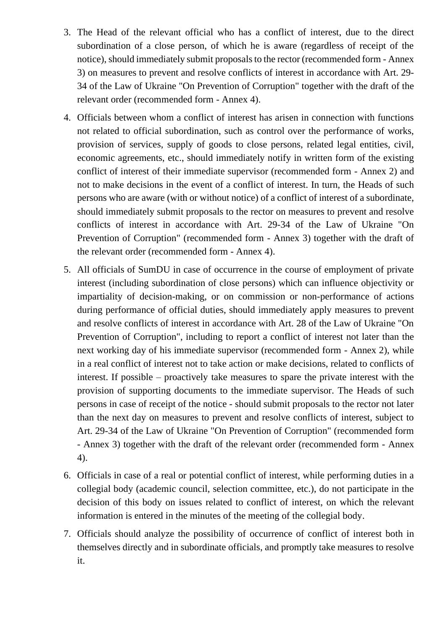- 3. The Head of the relevant official who has a conflict of interest, due to the direct subordination of a close person, of which he is aware (regardless of receipt of the notice), should immediately submit proposals to the rector (recommended form - Annex 3) on measures to prevent and resolve conflicts of interest in accordance with Art. 29- 34 of the Law of Ukraine "On Prevention of Corruption" together with the draft of the relevant order (recommended form - Annex 4).
- 4. Officials between whom a conflict of interest has arisen in connection with functions not related to official subordination, such as control over the performance of works, provision of services, supply of goods to close persons, related legal entities, civil, economic agreements, etc., should immediately notify in written form of the existing conflict of interest of their immediate supervisor (recommended form - Annex 2) and not to make decisions in the event of a conflict of interest. In turn, the Heads of such persons who are aware (with or without notice) of a conflict of interest of a subordinate, should immediately submit proposals to the rector on measures to prevent and resolve conflicts of interest in accordance with Art. 29-34 of the Law of Ukraine "On Prevention of Corruption" (recommended form - Annex 3) together with the draft of the relevant order (recommended form - Annex 4).
- 5. All officials of SumDU in case of occurrence in the course of employment of private interest (including subordination of close persons) which can influence objectivity or impartiality of decision-making, or on commission or non-performance of actions during performance of official duties, should immediately apply measures to prevent and resolve conflicts of interest in accordance with Art. 28 of the Law of Ukraine "On Prevention of Corruption", including to report a conflict of interest not later than the next working day of his immediate supervisor (recommended form - Annex 2), while in a real conflict of interest not to take action or make decisions, related to conflicts of interest. If possible – proactively take measures to spare the private interest with the provision of supporting documents to the immediate supervisor. The Heads of such persons in case of receipt of the notice - should submit proposals to the rector not later than the next day on measures to prevent and resolve conflicts of interest, subject to Art. 29-34 of the Law of Ukraine "On Prevention of Corruption" (recommended form - Annex 3) together with the draft of the relevant order (recommended form - Annex 4).
- 6. Officials in case of a real or potential conflict of interest, while performing duties in a collegial body (academic council, selection committee, etc.), do not participate in the decision of this body on issues related to conflict of interest, on which the relevant information is entered in the minutes of the meeting of the collegial body.
- 7. Officials should analyze the possibility of occurrence of conflict of interest both in themselves directly and in subordinate officials, and promptly take measures to resolve it.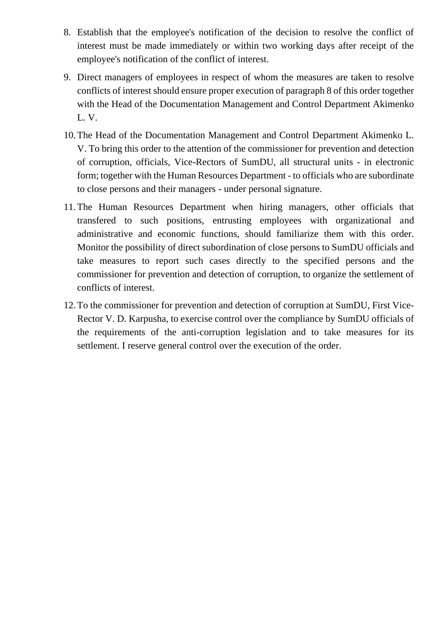- 8. Establish that the employee's notification of the decision to resolve the conflict of interest must be made immediately or within two working days after receipt of the employee's notification of the conflict of interest.
- 9. Direct managers of employees in respect of whom the measures are taken to resolve conflicts of interest should ensure proper execution of paragraph 8 of this order together with the Head of the Documentation Management and Control Department Akimenko L. V.
- 10.The Head of the Documentation Management and Control Department Akimenko L. V. To bring this order to the attention of the commissioner for prevention and detection of corruption, officials, Vice-Rectors of SumDU, all structural units - in electronic form; together with the Human Resources Department - to officials who are subordinate to close persons and their managers - under personal signature.
- 11.The Human Resources Department when hiring managers, other officials that transfered to such positions, entrusting employees with organizational and administrative and economic functions, should familiarize them with this order. Monitor the possibility of direct subordination of close persons to SumDU officials and take measures to report such cases directly to the specified persons and the commissioner for prevention and detection of corruption, to organize the settlement of conflicts of interest.
- 12.To the commissioner for prevention and detection of corruption at SumDU, First Vice-Rector V. D. Karpusha, to exercise control over the compliance by SumDU officials of the requirements of the anti-corruption legislation and to take measures for its settlement. I reserve general control over the execution of the order.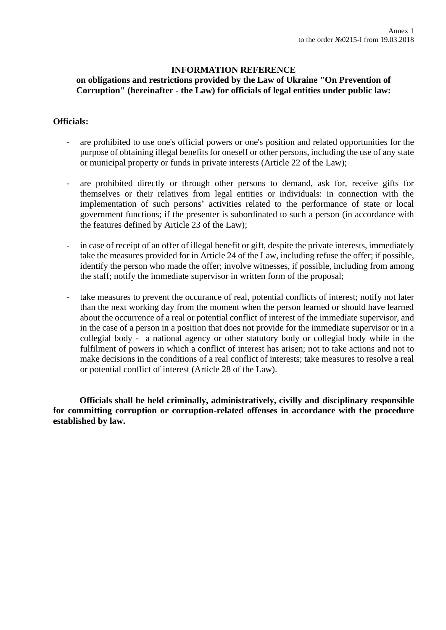#### **INFORMATION REFERENCE on obligations and restrictions provided by the Law of Ukraine "On Prevention of Corruption" (hereinafter - the Law) for officials of legal entities under public law:**

#### **Officials:**

- are prohibited to use one's official powers or one's position and related opportunities for the purpose of obtaining illegal benefits for oneself or other persons, including the use of any state or municipal property or funds in private interests (Article 22 of the Law);
- are prohibited directly or through other persons to demand, ask for, receive gifts for themselves or their relatives from legal entities or individuals: in connection with the implementation of such persons' activities related to the performance of state or local government functions; if the presenter is subordinated to such a person (in accordance with the features defined by Article 23 of the Law);
- in case of receipt of an offer of illegal benefit or gift, despite the private interests, immediately take the measures provided for in Article 24 of the Law, including refuse the offer; if possible, identify the person who made the offer; involve witnesses, if possible, including from among the staff; notify the immediate supervisor in written form of the proposal;
- take measures to prevent the occurance of real, potential conflicts of interest; notify not later than the next working day from the moment when the person learned or should have learned about the occurrence of a real or potential conflict of interest of the immediate supervisor, and in the case of a person in a position that does not provide for the immediate supervisor or in a collegial body - a national agency or other statutory body or collegial body while in the fulfilment of powers in which a conflict of interest has arisen; not to take actions and not to make decisions in the conditions of a real conflict of interests; take measures to resolve a real or potential conflict of interest (Article 28 of the Law).

**Officials shall be held criminally, administratively, civilly and disciplinary responsible for committing corruption or corruption-related offenses in accordance with the procedure established by law.**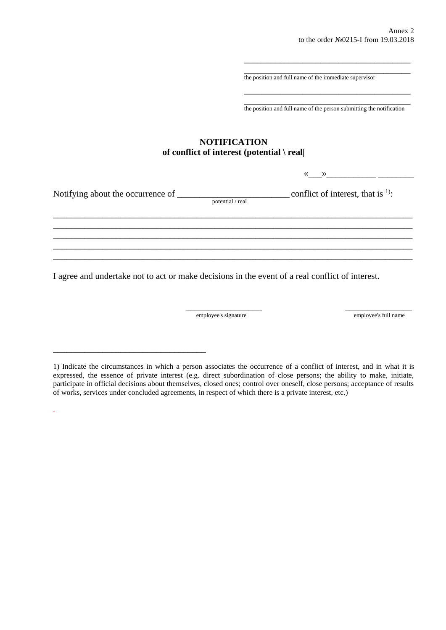\_\_\_\_\_\_\_\_\_\_\_\_\_\_\_\_\_\_\_\_\_\_\_\_\_\_\_\_\_\_\_\_\_\_\_\_\_ the position and full name of the immediate supervisor

\_\_\_\_\_\_\_\_\_\_\_\_\_\_\_\_\_\_\_\_\_\_\_\_\_\_\_\_\_\_\_\_\_\_\_\_\_ the position and full name of the person submitting the notification

\_\_\_\_\_\_\_\_\_\_\_\_\_\_\_\_\_\_\_\_\_\_\_\_\_\_\_\_\_\_\_\_\_\_\_\_\_

\_\_\_\_\_\_\_\_\_\_\_\_\_\_\_\_\_\_\_\_\_\_\_\_\_\_\_\_\_\_\_\_\_\_\_\_\_

#### **NOTIFICATION of conflict of interest (potential \ real|**

 $\left\langle \left\langle \begin{array}{cc} 0 & \cdots \end{array} \right\rangle \right\rangle$ 

| Notifying about the occurrence of |                  | conflict of interest, that is $\frac{1}{1}$ : |
|-----------------------------------|------------------|-----------------------------------------------|
|                                   | potential / real |                                               |
|                                   |                  |                                               |
|                                   |                  |                                               |
|                                   |                  |                                               |
|                                   |                  |                                               |
|                                   |                  |                                               |
|                                   |                  |                                               |

I agree and undertake not to act or make decisions in the event of a real conflict of interest.

employee's signature employee's full name

\_\_\_\_\_\_\_\_\_\_\_\_\_\_\_\_\_\_\_\_\_\_\_\_\_\_\_\_\_\_\_\_\_\_

.

\_\_\_\_\_\_\_\_\_\_\_\_\_\_\_\_\_ \_\_\_\_\_\_\_\_\_\_\_\_\_\_\_

<sup>1)</sup> Indicate the circumstances in which a person associates the occurrence of a conflict of interest, and in what it is expressed, the essence of private interest (e.g. direct subordination of close persons; the ability to make, initiate, participate in official decisions about themselves, closed ones; control over oneself, close persons; acceptance of results of works, services under concluded agreements, in respect of which there is a private interest, etc.)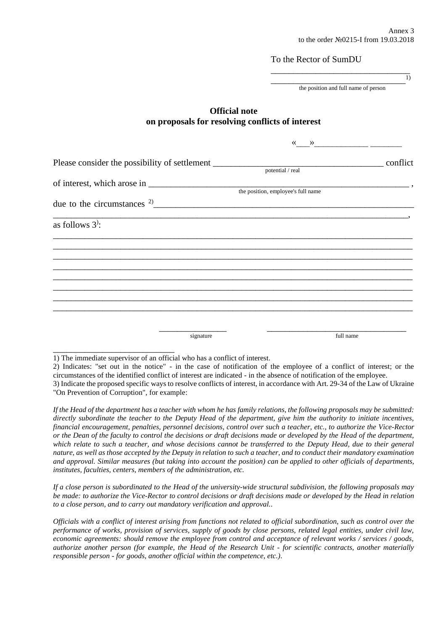1)

To the Rector of SumDU

\_\_\_\_\_\_\_\_\_\_\_\_\_\_\_\_\_\_\_\_\_\_\_\_\_\_\_\_\_\_ the position and full name of person

\_\_\_\_\_\_\_\_\_\_\_\_\_\_\_\_\_\_\_\_\_\_\_\_\_\_\_\_\_\_\_

#### **Official note on proposals for resolving conflicts of interest**

|                                                |                                    | $\left\langle \left\langle \right\rangle \right\rangle$ and $\left\langle \left\langle \right\rangle \right\rangle$ and $\left\langle \left\langle \right\rangle \right\rangle$ and $\left\langle \left\langle \right\rangle \right\rangle$ and $\left\langle \left\langle \right\rangle \right\rangle$ and $\left\langle \left\langle \right\rangle \right\rangle$ and $\left\langle \left\langle \right\rangle \right\rangle$ and $\left\langle \left\langle \right\rangle \right\rangle$ and $\left\langle \left\langle \right\rangle \right\rangle$ and $\left\langle \left\langle \right\rangle \$ |  |
|------------------------------------------------|------------------------------------|---------------------------------------------------------------------------------------------------------------------------------------------------------------------------------------------------------------------------------------------------------------------------------------------------------------------------------------------------------------------------------------------------------------------------------------------------------------------------------------------------------------------------------------------------------------------------------------------------------|--|
|                                                | potential / real                   |                                                                                                                                                                                                                                                                                                                                                                                                                                                                                                                                                                                                         |  |
|                                                | the position, employee's full name |                                                                                                                                                                                                                                                                                                                                                                                                                                                                                                                                                                                                         |  |
| due to the circumstances $2\frac{2}{\sqrt{2}}$ |                                    |                                                                                                                                                                                                                                                                                                                                                                                                                                                                                                                                                                                                         |  |
| as follows $3$ <sup>2</sup> :                  |                                    |                                                                                                                                                                                                                                                                                                                                                                                                                                                                                                                                                                                                         |  |
|                                                |                                    |                                                                                                                                                                                                                                                                                                                                                                                                                                                                                                                                                                                                         |  |
|                                                |                                    |                                                                                                                                                                                                                                                                                                                                                                                                                                                                                                                                                                                                         |  |
|                                                |                                    |                                                                                                                                                                                                                                                                                                                                                                                                                                                                                                                                                                                                         |  |
|                                                |                                    |                                                                                                                                                                                                                                                                                                                                                                                                                                                                                                                                                                                                         |  |
|                                                |                                    |                                                                                                                                                                                                                                                                                                                                                                                                                                                                                                                                                                                                         |  |
| signature                                      |                                    | full name                                                                                                                                                                                                                                                                                                                                                                                                                                                                                                                                                                                               |  |

1) The immediate supervisor of an official who has a conflict of interest.

\_\_\_\_\_\_\_\_\_\_\_\_\_\_\_\_\_\_\_\_\_\_\_\_\_\_\_

2) Indicates: "set out in the notice" - in the case of notification of the employee of a conflict of interest; or the circumstances of the identified conflict of interest are indicated - in the absence of notification of the employee.

3) Indicate the proposed specific ways to resolve conflicts of interest, in accordance with Art. 29-34 of the Law of Ukraine "On Prevention of Corruption", for example:

*If the Head of the department has a teacher with whom he has family relations, the following proposals may be submitted: directly subordinate the teacher to the Deputy Head of the department, give him the authority to initiate incentives, financial encouragement, penalties, personnel decisions, control over such a teacher, etc., to authorize the Vice-Rector or the Dean of the faculty to control the decisions or draft decisions made or developed by the Head of the department, which relate to such a teacher, and whose decisions cannot be transferred to the Deputy Head, due to their general nature, as well as those accepted by the Deputy in relation to such a teacher, and to conduct their mandatory examination and approval. Similar measures (but taking into account the position) can be applied to other officials of departments, institutes, faculties, centers, members of the administration, etc.*

*If a close person is subordinated to the Head of the university-wide structural subdivision, the following proposals may be made: to authorize the Vice-Rector to control decisions or draft decisions made or developed by the Head in relation to a close person, and to carry out mandatory verification and approval..*

*Officials with a conflict of interest arising from functions not related to official subordination, such as control over the performance of works, provision of services, supply of goods by close persons, related legal entities, under civil law, economic agreements: should remove the employee from control and acceptance of relevant works / services / goods, authorize another person (for example, the Head of the Research Unit - for scientific contracts, another materially responsible person - for goods, another official within the competence, etc.).*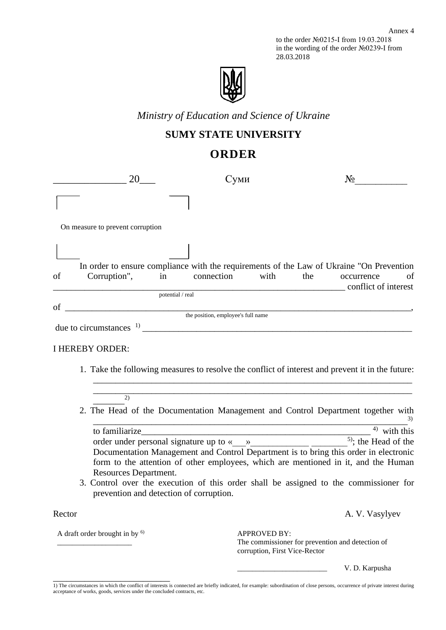to the order №0215-І from 19.03.2018 in the wording of the order №0239-І from 28.03.2018



*Ministry of Education and Science of Ukraine*

### **SUMY STATE UNIVERSITY**

## **ORDER**

|        | 20                                                               | Суми                                                        |     | $N_2$                                                                                                                                                                                                                                                                                                                                                                 |
|--------|------------------------------------------------------------------|-------------------------------------------------------------|-----|-----------------------------------------------------------------------------------------------------------------------------------------------------------------------------------------------------------------------------------------------------------------------------------------------------------------------------------------------------------------------|
|        |                                                                  |                                                             |     |                                                                                                                                                                                                                                                                                                                                                                       |
|        | On measure to prevent corruption                                 |                                                             |     |                                                                                                                                                                                                                                                                                                                                                                       |
|        |                                                                  |                                                             |     |                                                                                                                                                                                                                                                                                                                                                                       |
|        |                                                                  |                                                             |     | In order to ensure compliance with the requirements of the Law of Ukraine "On Prevention                                                                                                                                                                                                                                                                              |
| of     | Corruption", in connection with                                  |                                                             | the | of<br>occurrence<br>conflict of interest                                                                                                                                                                                                                                                                                                                              |
|        |                                                                  |                                                             |     |                                                                                                                                                                                                                                                                                                                                                                       |
|        | potential / real<br>of the position, employee's full name        |                                                             |     |                                                                                                                                                                                                                                                                                                                                                                       |
|        |                                                                  |                                                             |     |                                                                                                                                                                                                                                                                                                                                                                       |
|        |                                                                  |                                                             |     |                                                                                                                                                                                                                                                                                                                                                                       |
|        | <b>I HEREBY ORDER:</b>                                           |                                                             |     | 1. Take the following measures to resolve the conflict of interest and prevent it in the future:                                                                                                                                                                                                                                                                      |
|        | (2)                                                              | <u> 1989 - Johann Stoff, amerikansk politiker (d. 1989)</u> |     |                                                                                                                                                                                                                                                                                                                                                                       |
|        |                                                                  |                                                             |     | 2. The Head of the Documentation Management and Control Department together with                                                                                                                                                                                                                                                                                      |
|        |                                                                  |                                                             |     |                                                                                                                                                                                                                                                                                                                                                                       |
|        |                                                                  |                                                             |     | to familiarize $\frac{3}{2}$<br>order under personal signature up to $\left(\frac{9}{2}\right)$ $\frac{4}{2}$ with this order under personal signature up to $\left(\frac{9}{2}\right)$<br>Documentation Management and Control Department is to bring this order in electronic<br>form to the attention of other employees, which are mentioned in it, and the Human |
|        | Resources Department.<br>prevention and detection of corruption. |                                                             |     | 3. Control over the execution of this order shall be assigned to the commissioner for                                                                                                                                                                                                                                                                                 |
| Rector |                                                                  |                                                             |     | A. V. Vasylyev                                                                                                                                                                                                                                                                                                                                                        |

A draft order brought in by <sup>6)</sup>

\_\_\_\_\_\_\_\_\_\_\_\_\_\_\_\_\_\_\_\_\_\_\_\_\_\_

\_\_\_\_\_\_\_\_\_\_\_\_\_\_\_\_\_\_\_\_

APPROVED BY: The commissioner for prevention and detection of corruption, First Vice-Rector

V. D. Karpusha

<sup>1)</sup> The circumstances in which the conflict of interests is connected are briefly indicated, for example: subordination of close persons, occurrence of private interest during acceptance of works, goods, services under the concluded contracts, etc.